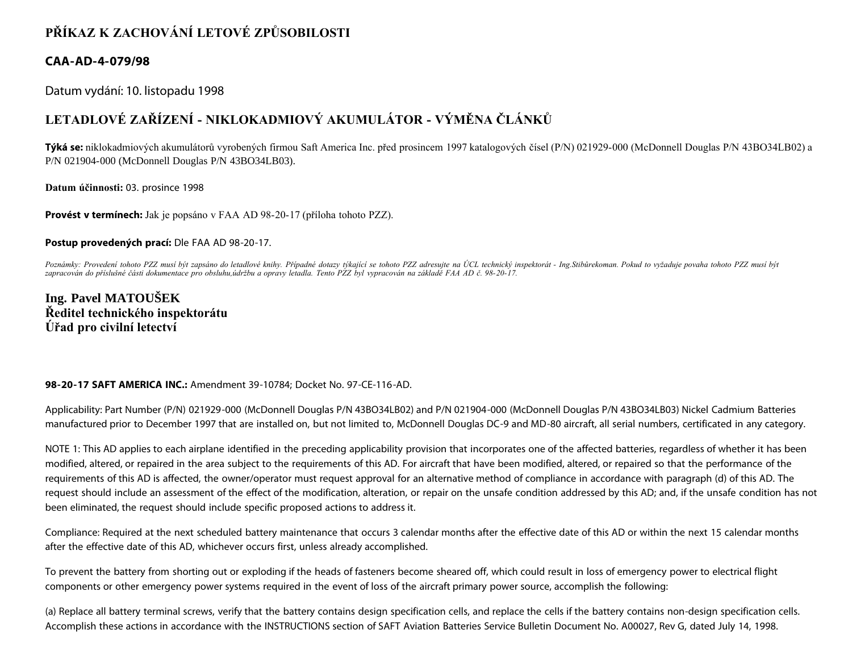## **PŘÍKAZ K ZACHOVÁNÍ LETOVÉ ZPŮSOBILOSTI**

### **CAA-AD-4-079/98**

Datum vydání: 10. listopadu 1998

# **LETADLOVÉ ZAŘÍZENÍ - NIKLOKADMIOVÝ AKUMULÁTOR - VÝMĚNA ČLÁNKŮ**

**Týká se:** niklokadmiových akumulátorů vyrobených firmou Saft America Inc. před prosincem 1997 katalogových čísel (P/N) 021929-000 (McDonnell Douglas P/N 43BO34LB02) a P/N 021904-000 (McDonnell Douglas P/N 43BO34LB03).

**Datum účinnosti:** 03. prosince 1998

**Provést v termínech:** Jak je popsáno v FAA AD 98-20-17 (příloha tohoto PZZ).

**Postup provedených prací:** Dle FAA AD 98-20-17.

*Poznámky: Provedení tohoto PZZ musí být zapsáno do letadlové knihy. Případné dotazy týkající se tohoto PZZ adresujte na ÚCL technický inspektorát - Ing.Stibůrekoman. Pokud to vyžaduje povaha tohoto PZZ musí být zapracován do příslušné části dokumentace pro obsluhu,údržbu a opravy letadla. Tento PZZ byl vypracován na základě FAA AD č. 98-20-17.*

**Ing. Pavel MATOUŠEK Ředitel technického inspektorátu Úřad pro civilní letectví**

#### **98-20-17 SAFT AMERICA INC.:** Amendment 39-10784; Docket No. 97-CE-116-AD.

Applicability: Part Number (P/N) 021929-000 (McDonnell Douglas P/N 43BO34LB02) and P/N 021904-000 (McDonnell Douglas P/N 43BO34LB03) Nickel Cadmium Batteries manufactured prior to December 1997 that are installed on, but not limited to, McDonnell Douglas DC-9 and MD-80 aircraft, all serial numbers, certificated in any category.

NOTE 1: This AD applies to each airplane identified in the preceding applicability provision that incorporates one of the affected batteries, regardless of whether it has been modified, altered, or repaired in the area subject to the requirements of this AD. For aircraft that have been modified, altered, or repaired so that the performance of the requirements of this AD is affected, the owner/operator must request approval for an alternative method of compliance in accordance with paragraph (d) of this AD. The request should include an assessment of the effect of the modification, alteration, or repair on the unsafe condition addressed by this AD; and, if the unsafe condition has not been eliminated, the request should include specific proposed actions to address it.

Compliance: Required at the next scheduled battery maintenance that occurs 3 calendar months after the effective date of this AD or within the next 15 calendar months after the effective date of this AD, whichever occurs first, unless already accomplished.

To prevent the battery from shorting out or exploding if the heads of fasteners become sheared off, which could result in loss of emergency power to electrical flight components or other emergency power systems required in the event of loss of the aircraft primary power source, accomplish the following:

(a) Replace all battery terminal screws, verify that the battery contains design specification cells, and replace the cells if the battery contains non-design specification cells. Accomplish these actions in accordance with the INSTRUCTIONS section of SAFT Aviation Batteries Service Bulletin Document No. A00027, Rev G, dated July 14, 1998.